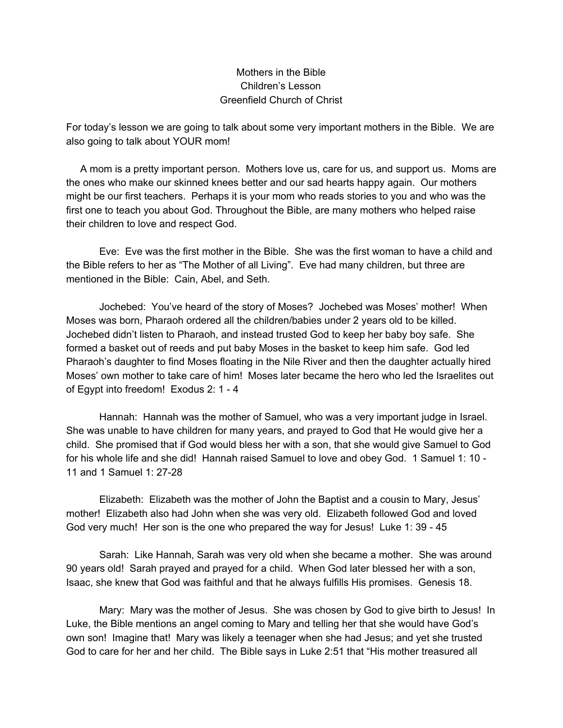## Mothers in the Bible Children's Lesson Greenfield Church of Christ

For today's lesson we are going to talk about some very important mothers in the Bible. We are also going to talk about YOUR mom!

A mom is a pretty important person. Mothers love us, care for us, and support us. Moms are the ones who make our skinned knees better and our sad hearts happy again. Our mothers might be our first teachers. Perhaps it is your mom who reads stories to you and who was the first one to teach you about God. Throughout the Bible, are many mothers who helped raise their children to love and respect God.

Eve: Eve was the first mother in the Bible. She was the first woman to have a child and the Bible refers to her as "The Mother of all Living". Eve had many children, but three are mentioned in the Bible: Cain, Abel, and Seth.

Jochebed: You've heard of the story of Moses? Jochebed was Moses' mother! When Moses was born, Pharaoh ordered all the children/babies under 2 years old to be killed. Jochebed didn't listen to Pharaoh, and instead trusted God to keep her baby boy safe. She formed a basket out of reeds and put baby Moses in the basket to keep him safe. God led Pharaoh's daughter to find Moses floating in the Nile River and then the daughter actually hired Moses' own mother to take care of him! Moses later became the hero who led the Israelites out of Egypt into freedom! Exodus 2: 1 - 4

Hannah: Hannah was the mother of Samuel, who was a very important judge in Israel. She was unable to have children for many years, and prayed to God that He would give her a child. She promised that if God would bless her with a son, that she would give Samuel to God for his whole life and she did! Hannah raised Samuel to love and obey God. 1 Samuel 1: 10 - 11 and 1 Samuel 1: 27-28

Elizabeth: Elizabeth was the mother of John the Baptist and a cousin to Mary, Jesus' mother! Elizabeth also had John when she was very old. Elizabeth followed God and loved God very much! Her son is the one who prepared the way for Jesus! Luke 1: 39 - 45

Sarah: Like Hannah, Sarah was very old when she became a mother. She was around 90 years old! Sarah prayed and prayed for a child. When God later blessed her with a son, Isaac, she knew that God was faithful and that he always fulfills His promises. Genesis 18.

Mary: Mary was the mother of Jesus. She was chosen by God to give birth to Jesus! In Luke, the Bible mentions an angel coming to Mary and telling her that she would have God's own son! Imagine that! Mary was likely a teenager when she had Jesus; and yet she trusted God to care for her and her child. The Bible says in Luke 2:51 that "His mother treasured all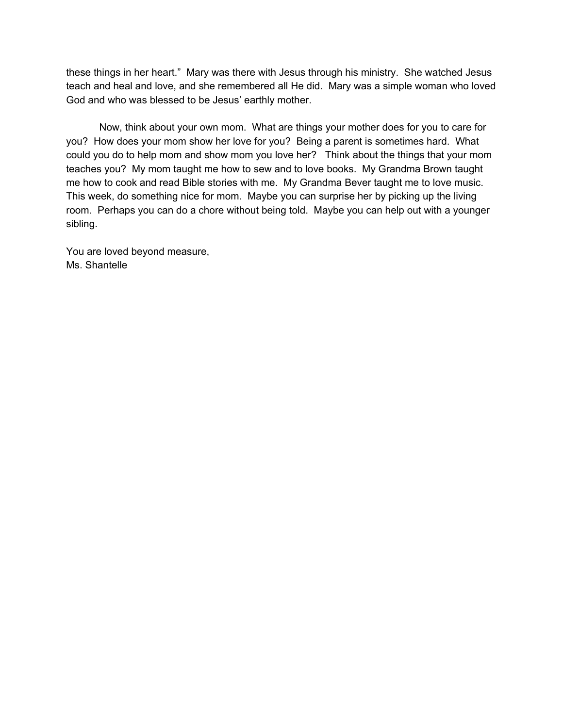these things in her heart." Mary was there with Jesus through his ministry. She watched Jesus teach and heal and love, and she remembered all He did. Mary was a simple woman who loved God and who was blessed to be Jesus' earthly mother.

Now, think about your own mom. What are things your mother does for you to care for you? How does your mom show her love for you? Being a parent is sometimes hard. What could you do to help mom and show mom you love her? Think about the things that your mom teaches you? My mom taught me how to sew and to love books. My Grandma Brown taught me how to cook and read Bible stories with me. My Grandma Bever taught me to love music. This week, do something nice for mom. Maybe you can surprise her by picking up the living room. Perhaps you can do a chore without being told. Maybe you can help out with a younger sibling.

You are loved beyond measure, Ms. Shantelle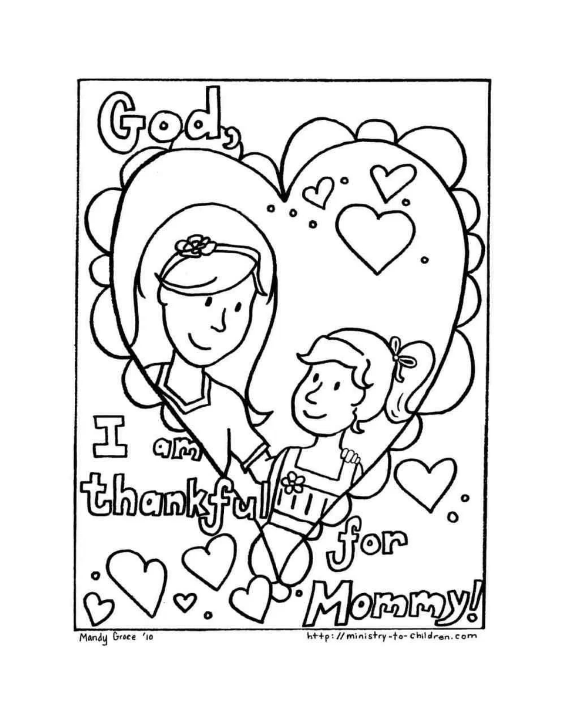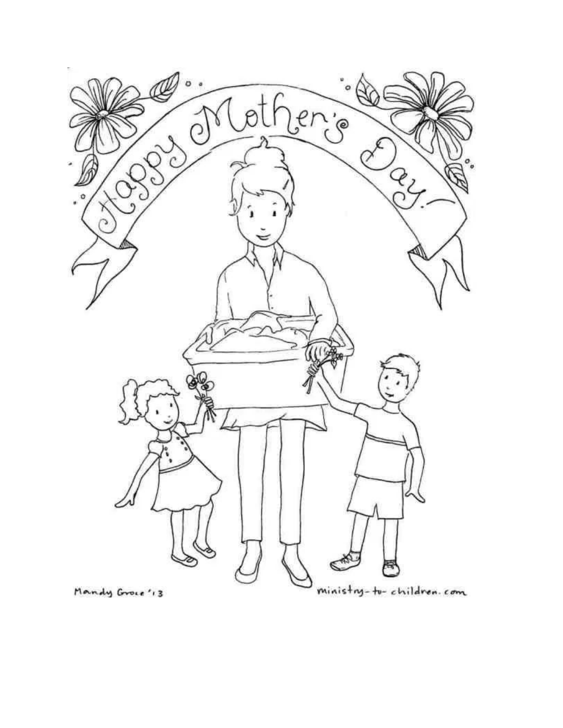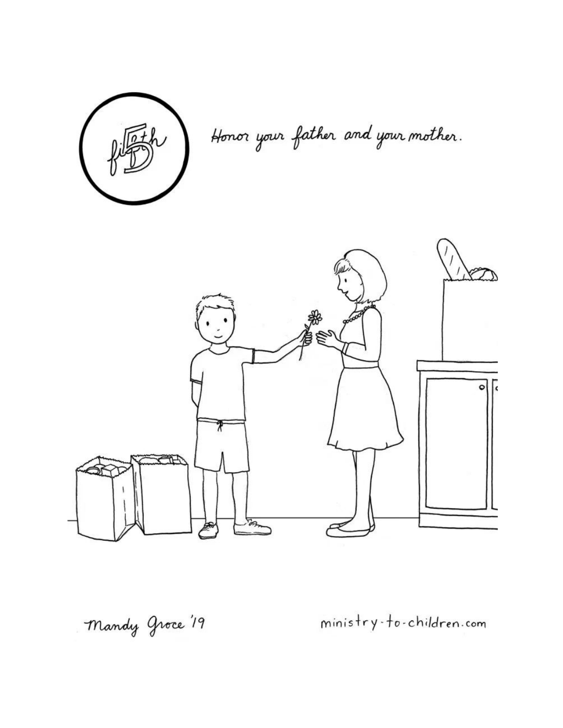

Honor your father and your mother.



ministry-to-children.com